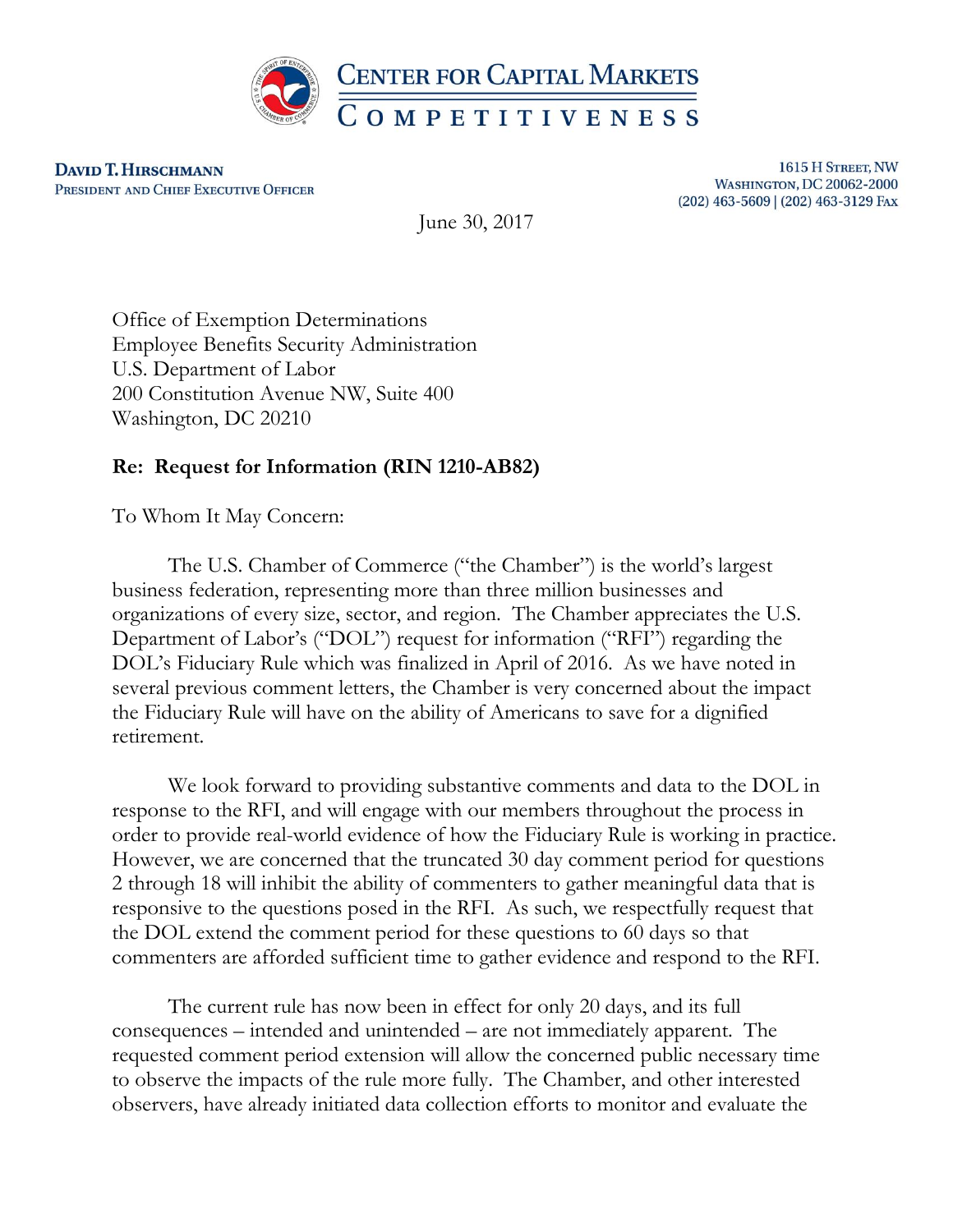

**DAVID T. HIRSCHMANN** PRESIDENT AND CHIEF EXECUTIVE OFFICER

1615 H STREET, NW **WASHINGTON, DC 20062-2000** (202) 463-5609 | (202) 463-3129 FAX

June 30, 2017

Office of Exemption Determinations Employee Benefits Security Administration U.S. Department of Labor 200 Constitution Avenue NW, Suite 400 Washington, DC 20210

## **Re: Request for Information (RIN 1210-AB82)**

To Whom It May Concern:

The U.S. Chamber of Commerce ("the Chamber") is the world's largest business federation, representing more than three million businesses and organizations of every size, sector, and region. The Chamber appreciates the U.S. Department of Labor's ("DOL") request for information ("RFI") regarding the DOL's Fiduciary Rule which was finalized in April of 2016. As we have noted in several previous comment letters, the Chamber is very concerned about the impact the Fiduciary Rule will have on the ability of Americans to save for a dignified retirement.

We look forward to providing substantive comments and data to the DOL in response to the RFI, and will engage with our members throughout the process in order to provide real-world evidence of how the Fiduciary Rule is working in practice. However, we are concerned that the truncated 30 day comment period for questions 2 through 18 will inhibit the ability of commenters to gather meaningful data that is responsive to the questions posed in the RFI. As such, we respectfully request that the DOL extend the comment period for these questions to 60 days so that commenters are afforded sufficient time to gather evidence and respond to the RFI.

The current rule has now been in effect for only 20 days, and its full consequences – intended and unintended – are not immediately apparent. The requested comment period extension will allow the concerned public necessary time to observe the impacts of the rule more fully. The Chamber, and other interested observers, have already initiated data collection efforts to monitor and evaluate the